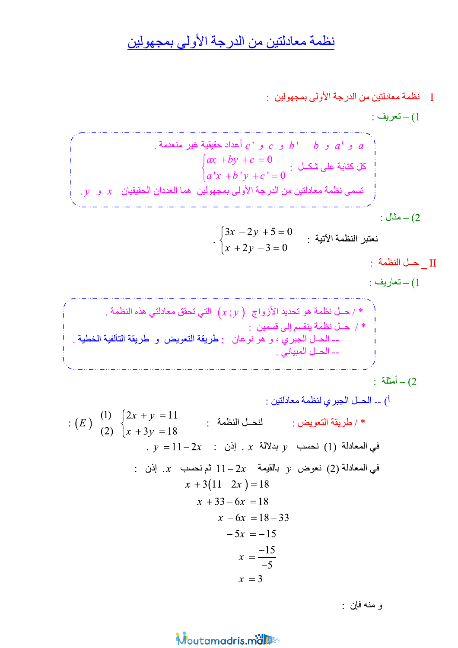# نظمة معادلتين من الدرجة الأولى بمجهولين

.<br>[ \_ نظمة معادلتين من الدرجة الأولى بمجهولين [

و منه فإن :

Moutamadris.ma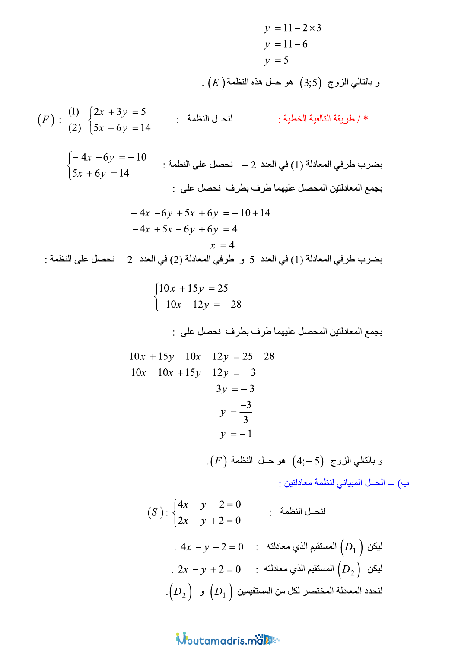| $y = 11 - 2 \times 3$  |                 |
|------------------------|-----------------|
| $y = 11 - 6$           |                 |
| $y = 5$                |                 |
| $(E)$ $\int \sec(3.5)$ |                 |
| $(3.5)$                |                 |
| $(3.5)$                |                 |
| $(3.5)$                |                 |
| $(4.5)$                |                 |
| $(4.5)$                |                 |
| $(4.5)$                |                 |
| $(2)$                  | $(2x + 3y) = 5$ |
| $(3.5)$                |                 |
| $(4.5)$                |                 |
| $(4.5)$                |                 |
| $(4.5)$                |                 |
| $(4.5)$                |                 |
| $(4.5)$                |                 |
| $(4.5)$                |                 |
| $(4.5)$                |                 |
| $(4.5)$                |                 |
| $(4.5)$                |                 |
| $(4.5)$                |                 |
| $(4.5)$                |                 |
| $(4.5)$                |                 |
| $(4.5)$                |                 |
| $(4.5)$                |                 |
| $(4.5)$                |                 |
| $(4.5)$                |                 |
| $(4.5)$                |                 |
| $(4.5)$                |                 |
| $(4.5)$                |                 |
| $(4.5)$                |                 |
| $(4.5)$                |                 |
| $(4.5)$                |                 |
| $(4.5)$                |                 |
| $(4.5)$                |                 |

$$
(F): \begin{pmatrix} 1 & 2x + 3y = 5 \\ 2x + 6y = 14 \end{pmatrix} : \begin{cases} 2x + 3y = 5 \\ 5x + 6y = 14 \end{cases}
$$

$$
\begin{cases}\n-4x - 6y = -10 \\
5x + 6y = 14\n\end{cases}
$$
:  $-\frac{10}{5x + 6y} = 14$ 

$$
-4x - 6y + 5x + 6y = -10 + 14
$$

$$
-4x + 5x - 6y + 6y = 4
$$

$$
x = 4
$$

$$
\begin{cases} 10x + 15y = 25 \\ -10x - 12y = -28 \end{cases}
$$

بجمع المعادلتين المحصل عليهما طرف بطرف نحصل على :

$$
10x + 15y - 10x - 12y = 25 - 28
$$
  
\n
$$
10x - 10x + 15y - 12y = -3
$$
  
\n
$$
3y = -3
$$
  
\n
$$
y = \frac{-3}{3}
$$
  
\n
$$
y = -1
$$
  
\n
$$
.(F) \text{ id}\acute{=} (4; -5) \text{ (2)} \text{ if } (x - 5) \text{ is } (-5) \text{ (3)} \text{ if } (x - 5) \text{ is } (-5) \text{ (4)} \text{ if } (x - 5) \text{ is } (-5) \text{ (4)} \text{ if } (x - 5) \text{ is } (-5) \text{ (4)} \text{ if } (x - 5) \text{ is } (-5) \text{ (4)} \text{ if } (x - 5) \text{ is } (-5) \text{ (4)} \text{ if } (x - 5) \text{ is } (-5) \text{ (4)} \text{ if } (x - 5) \text{ is } (-5) \text{ (4)} \text{ if } (x - 5) \text{ is } (-5) \text{ (4)} \text{ if } (x - 5) \text{ is } (-5) \text{ (4)} \text{ if } (x - 5) \text{ is } (-5) \text{ (4)} \text{ if } (x - 5) \text{ is } (-5) \text{ (4)} \text{ if } (x - 5) \text{ is } (-5) \text{ (4)} \text{ if } (x - 5) \text{ is } (-5) \text{ (4)} \text{ if } (x - 5) \text{ is } (-5) \text{ (4)} \text{ if } (x - 5) \text{ is } (-5) \text{ (4)} \text{ if } (x - 5) \text{ is } (-5) \text{ (4)} \text{ if } (x - 5) \text{ is } (-5) \text{ (4)} \text{ if } (x - 5) \text{ is } (-5) \text{ (4)} \text{ if } (x - 5) \text{ is } (-5) \text{ (4)} \text{ if } (x - 5) \text{ is } (-5) \text{ (4)} \text{ if } (x - 5) \text{ is } (-5) \text{ (4)} \text{ if } (x - 5) \text{ is } (-5) \text{ (4)} \text{ if } (x - 5) \text{ is } (-5) \text{ (4)} \text{ if } (x - 5) \
$$

ب) -- الحـل المبياني لنظمة معادلتين :

(S): 
$$
\begin{cases} 4x - y - 2 = 0 \\ 2x - y + 2 = 0 \end{cases}
$$

\nLet us find the following equation:

\nLet us find the following equations:

\n
$$
\begin{aligned}\n\text{Lip}_1 \text{ is a positive constant.} \\
\text{Lip}_2 \text{ is a positive constant.}\n\end{aligned}
$$
\nLet us find the integral of  $D_1$  and  $D_2$ .

\nLet us find the integral  $D_1$  and  $D_2$ .

\nLet us use the following equations:

\n
$$
\begin{aligned}\n\text{Lip}_2 \text{ is a positive constant.}\n\end{aligned}
$$
\nLet us use the following equations:

\n
$$
\begin{aligned}\n\text{Lip}_1 \text{ is a positive constant.}\n\end{aligned}
$$
\nLet us use the following equations:

\n
$$
\begin{aligned}\n\text{Lip}_2 \text{ is a positive constant.}\n\end{aligned}
$$
\nLet us use the following equations:

\n
$$
\begin{aligned}\n\text{Lip}_1 \text{ is a positive constant.}\n\end{aligned}
$$
\nLet us use the following equations:

\n
$$
\begin{aligned}\n\text{Lip}_2 \text{ is a positive constant.}\n\end{aligned}
$$
\nLet us use the following equations:

\n
$$
\begin{aligned}\n\text{Lip}_1 \text{ is a positive constant.}\n\end{aligned}
$$
\nLet us use the following equations:

\n
$$
\begin{aligned}\n\text{Lip}_2 \text{ is a positive constant.}\n\end{aligned}
$$
\nLet us use the following equations:

\n
$$
\begin{aligned}\n\text{Lip}_1 \text{ is a positive constant.}\n\end{aligned}
$$
\nLet us use the following equations:

\n
$$
\begin{aligned}\n\text{Lip}_2 \text{ is a positive constant.}\n\end{aligned}
$$
\nLet us use the following equations:

\n
$$
\begin{aligned}\n\text{Lip}_1 \text{ is a positive constant.}\n\end{aligned}
$$
\nTherefore, the following equations:

\n
$$
\begin{aligned}\n\text{Lip}_2 \text{ is a positive constant.}\n\end{aligned}
$$
\nTherefore, the following equations:

\n
$$
\begin{aligned}\n\text{Lip}_1 \text{ is a positive constant.}\n\end{aligned
$$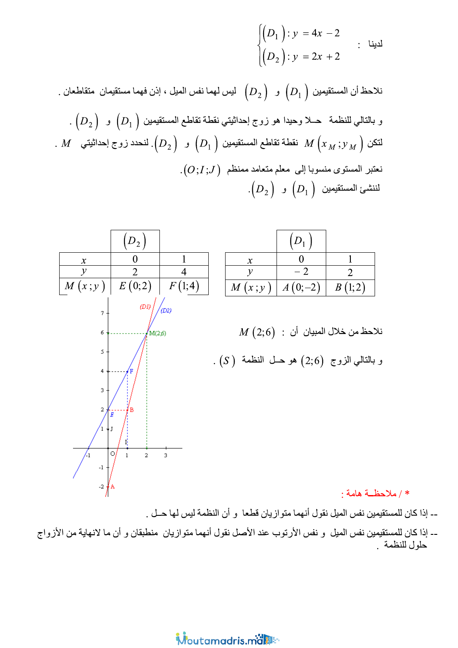$$
\begin{cases}\n(D_1): y = 4x - 2 \\
(D_2): y = 2x + 2\n\end{cases}
$$

. نلاحظ أن المستقيمين  $\left(D_{1}\right)\;$  و  $\left(D_{2}\right)\;$  ليس لهما نفس الميل ، إذن فهما مستقيمان متقاطعان . و بالنالي للنظمة حـــلا وحيدا هو زوج إحداثيتي نقطـة تقاطـع المستقيمين  $\Big(D_1^-\Big)$  و  $\Big(D_2^-\Big)$  . .  $M$  نقطة تقاطع المستقيمين  $\left(\overline{D}_{1}\,\right)$  و  $\left(\overline{D}_{2}\,\right)$ . لنحدد زوج إحداثيتي  $M\left(x_{\,M}\,;y_{\,M}\,\right)$  $\phi_1(O;I;J)$  نعتبر المستوى منسوبا إلى معلم متعامد ممنظم  $\cdot\left(D_{\,}\right)$  نننشئ المستقيمين  $\left(D_{1}\right)$  و



ــ إذا كان للمستقيمين نفس الميل و نفس الأرتوب عند الأصل نقول أنهما متوازيان منطبقان و أن ما لانهاية من الأزواج حلول للنظمة

## Moutamadris man